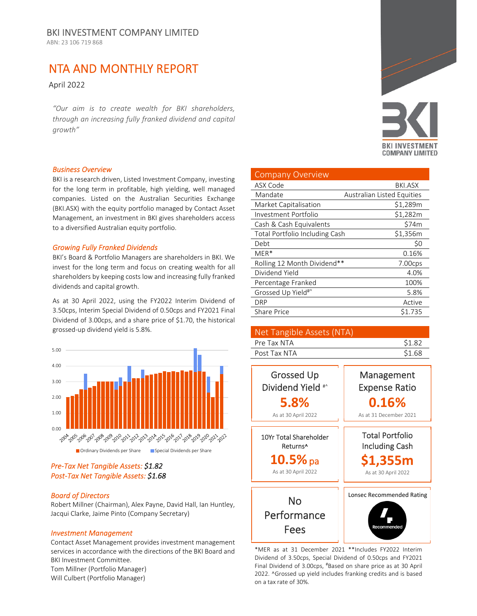ABN: 23 106 719 868

# NTA AND MONTHLY REPORT

April 2022

*"Our aim is to create wealth for BKI shareholders, through an increasing fully franked dividend and capital growth"*

#### *Business Overview*

BKI is a research driven, Listed Investment Company, investing for the long term in profitable, high yielding, well managed companies. Listed on the Australian Securities Exchange (BKI.ASX) with the equity portfolio managed by Contact Asset Management, an investment in BKI gives shareholders access to a diversified Australian equity portfolio.

#### *Growing Fully Franked Dividends*

BKI's Board & Portfolio Managers are shareholders in BKI. We invest for the long term and focus on creating wealth for all shareholders by keeping costs low and increasing fully franked dividends and capital growth.

As at 30 April 2022, using the FY2022 Interim Dividend of 3.50cps, Interim Special Dividend of 0.50cps and FY2021 Final Dividend of 3.00cps, and a share price of \$1.70, the historical grossed‐up dividend yield is 5.8%.



# *Pre‐Tax Net Tangible Assets: \$1.82 Post‐Tax Net Tangible Assets: \$1.68*

#### *Board of Directors*

Robert Millner (Chairman), Alex Payne, David Hall, Ian Huntley, Jacqui Clarke, Jaime Pinto (Company Secretary)

### *Investment Management*

Contact Asset Management provides investment management services in accordance with the directions of the BKI Board and BKI Investment Committee.

Tom Millner (Portfolio Manager) Will Culbert (Portfolio Manager)



| <b>Company Overview</b>        |                                   |
|--------------------------------|-----------------------------------|
| ASX Code                       | BKI.ASX                           |
| Mandate                        | <b>Australian Listed Equities</b> |
| Market Capitalisation          | \$1,289m                          |
| Investment Portfolio           | \$1,282m                          |
| Cash & Cash Equivalents        | \$74m                             |
| Total Portfolio Including Cash | \$1,356m                          |
| Debt                           | \$0                               |
| $MER*$                         | 0.16%                             |
| Rolling 12 Month Dividend**    | 7.00cps                           |
| Dividend Yield                 | 4.0%                              |
| Percentage Franked             | 100%                              |
| Grossed Up Yield#^             | 5.8%                              |
| DRP                            | Active                            |
| <b>Share Price</b>             | \$1.735                           |

| Net Tangible Assets (NTA) |        |
|---------------------------|--------|
| Pre Tax NTA               | \$1.82 |
| Post Tax NTA              | \$1.68 |



\*MER as at 31 December 2021 \*\*Includes FY2022 Interim Dividend of 3.50cps, Special Dividend of 0.50cps and FY2021 Final Dividend of 3.00cps, #Based on share price as at 30 April 2022. ^Grossed up yield includes franking credits and is based on a tax rate of 30%.